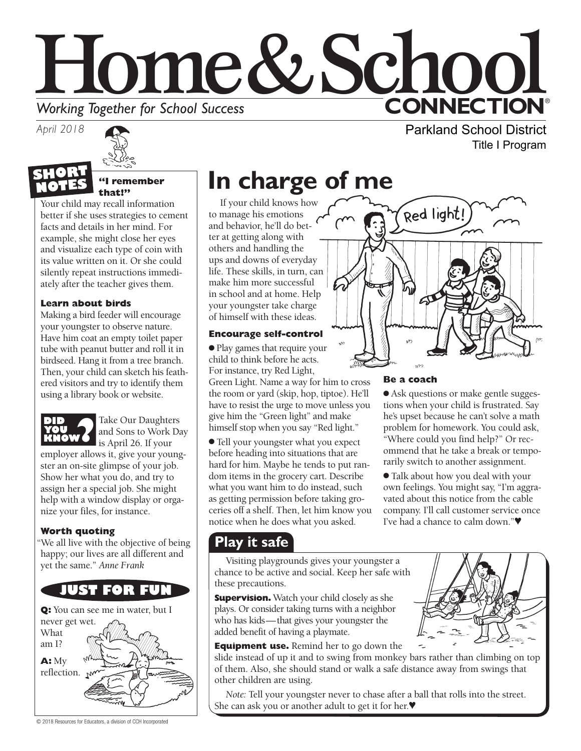# Home&Schoo **CONNECTION® Working Together for School Success**

*April 2018*

# **NOTES**

**"I remember that!"** 

Your child may recall information better if she uses strategies to cement facts and details in her mind. For example, she might close her eyes and visualize each type of coin with its value written on it. Or she could silently repeat instructions immediately after the teacher gives them.

### **Learn about birds**

Making a bird feeder will encourage your youngster to observe nature. Have him coat an empty toilet paper tube with peanut butter and roll it in birdseed. Hang it from a tree branch. Then, your child can sketch his feathered visitors and try to identify them using a library book or website.



Take Our Daughters and Sons to Work Day

is April 26. If your employer allows it, give your youngster an on-site glimpse of your job. Show her what you do, and try to assign her a special job. She might help with a window display or organize your files, for instance.

### **Worth quoting**

"We all live with the objective of being happy; our lives are all different and yet the same." *Anne Frank*



# **In charge of me**

If your child knows how to manage his emotions and behavior, he'll do better at getting along with others and handling the ups and downs of everyday life. These skills, in turn, can make him more successful in school and at home. Help your youngster take charge of himself with these ideas.

### **Encourage self-control**

● Play games that require your child to think before he acts. For instance, try Red Light,

Green Light. Name a way for him to cross the room or yard (skip, hop, tiptoe). He'll have to resist the urge to move unless you give him the "Green light" and make himself stop when you say "Red light."

● Tell your youngster what you expect before heading into situations that are hard for him. Maybe he tends to put random items in the grocery cart. Describe what you want him to do instead, such as getting permission before taking groceries off a shelf. Then, let him know you notice when he does what you asked.

### **Play it safe**

Visiting playgrounds gives your youngster a chance to be active and social. Keep her safe with these precautions.

**Supervision.** Watch your child closely as she plays. Or consider taking turns with a neighbor who has kids—that gives your youngster the added benefit of having a playmate.

**Equipment use.** Remind her to go down the

slide instead of up it and to swing from monkey bars rather than climbing on top of them. Also, she should stand or walk a safe distance away from swings that other children are using.

*Note:* Tell your youngster never to chase after a ball that rolls into the street. She can ask you or another adult to get it for her.♥





Parkland School District

Title I Program

### **Be a coach**

● Ask questions or make gentle suggestions when your child is frustrated. Say he's upset because he can't solve a math problem for homework. You could ask, "Where could you find help?" Or recommend that he take a break or temporarily switch to another assignment.

● Talk about how you deal with your own feelings. You might say, "I'm aggravated about this notice from the cable company. I'll call customer service once I've had a chance to calm down."♥

© 2018 Resources for Educators, a division of CCH Incorporated